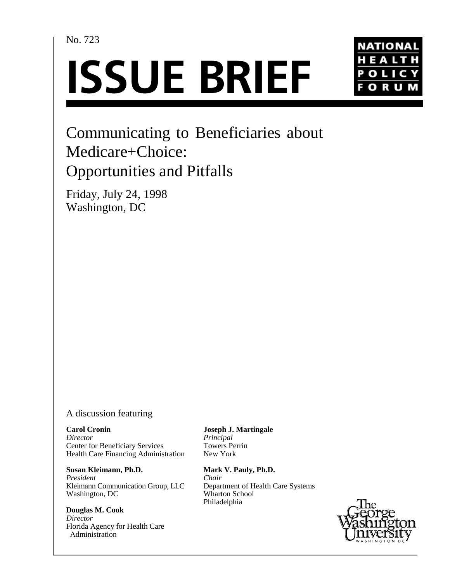No. 723





# Communicating to Beneficiaries about Medicare+Choice: Opportunities and Pitfalls

Friday, July 24, 1998 Washington, DC

# A discussion featuring

**Carol Cronin** *Director* Center for Beneficiary Services Health Care Financing Administration

**Susan Kleimann, Ph.D.** *President* Kleimann Communication Group, LLC Washington, DC

**Douglas M. Cook** *Director* Florida Agency for Health Care Administration

**Joseph J. Martingale** *Principal* Towers Perrin New York

**Mark V. Pauly, Ph.D.** *Chair* Department of Health Care Systems Wharton School Philadelphia

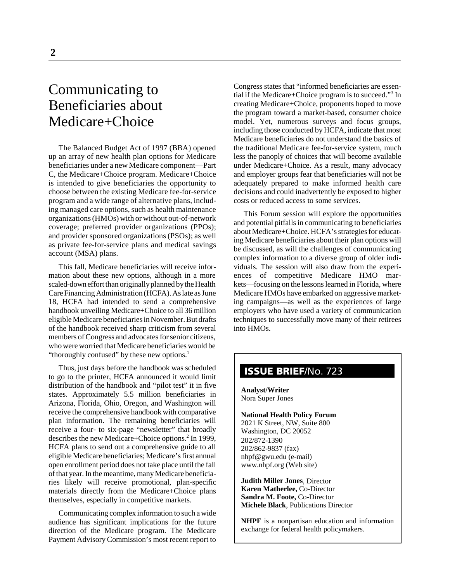# Communicating to Beneficiaries about Medicare+Choice

The Balanced Budget Act of 1997 (BBA) opened up an array of new health plan options for Medicare beneficiaries under a new Medicare component—Part C, the Medicare+Choice program. Medicare+Choice is intended to give beneficiaries the opportunity to choose between the existing Medicare fee-for-service program and a wide range of alternative plans, including managed care options, such as health maintenance organizations (HMOs) with or without out-of-network coverage; preferred provider organizations (PPOs); and provider sponsored organizations (PSOs); as well as private fee-for-service plans and medical savings account (MSA) plans.

This fall, Medicare beneficiaries will receive information about these new options, although in a more scaled-down effort than originally planned by the Health Care Financing Administration (HCFA). As late as June 18, HCFA had intended to send a comprehensive handbook unveiling Medicare+Choice to all 36 million eligible Medicare beneficiaries in November. But drafts of the handbook received sharp criticism from several members of Congress and advocates for senior citizens, who were worried that Medicare beneficiaries would be "thoroughly confused" by these new options.<sup>1</sup>

Thus, just days before the handbook was scheduled to go to the printer, HCFA announced it would limit distribution of the handbook and "pilot test" it in five states. Approximately 5.5 million beneficiaries in Arizona, Florida, Ohio, Oregon, and Washington will receive the comprehensive handbook with comparative plan information. The remaining beneficiaries will receive a four- to six-page "newsletter" that broadly describes the new Medicare+Choice options.<sup>2</sup> In 1999, HCFA plans to send out a comprehensive guide to all eligible Medicare beneficiaries; Medicare's first annual open enrollment period does not take place until the fall of that year. In the meantime, many Medicare beneficiaries likely will receive promotional, plan-specific materials directly from the Medicare+Choice plans themselves, especially in competitive markets.

Communicating complex information to such a wide audience has significant implications for the future direction of the Medicare program. The Medicare Payment Advisory Commission's most recent report to

Congress states that "informed beneficiaries are essential if the Medicare+Choice program is to succeed."3 In creating Medicare+Choice, proponents hoped to move the program toward a market-based, consumer choice model. Yet, numerous surveys and focus groups, including those conducted by HCFA, indicate that most Medicare beneficiaries do not understand the basics of the traditional Medicare fee-for-service system, much less the panoply of choices that will become available under Medicare+Choice. As a result, many advocacy and employer groups fear that beneficiaries will not be adequately prepared to make informed health care decisions and could inadvertently be exposed to higher costs or reduced access to some services.

This Forum session will explore the opportunities and potential pitfalls in communicating to beneficiaries about Medicare+Choice. HCFA's strategies for educating Medicare beneficiaries about their plan options will be discussed, as will the challenges of communicating complex information to a diverse group of older individuals. The session will also draw from the experiences of competitive Medicare HMO markets—focusing on the lessons learned in Florida, where Medicare HMOs have embarked on aggressive marketing campaigns—as well as the experiences of large employers who have used a variety of communication techniques to successfully move many of their retirees into HMOs.

# **ISSUE BRIEF**/No. 723

**Analyst/Writer** Nora Super Jones

#### **National Health Policy Forum** 2021 K Street, NW, Suite 800 Washington, DC 20052 202/872-1390 202/862-9837 (fax) nhpf@gwu.edu (e-mail) www.nhpf.org (Web site)

**Judith Miller Jones**, Director **Karen Matherlee,** Co-Director **Sandra M. Foote,** Co-Director **Michele Black**, Publications Director

**NHPF** is a nonpartisan education and information exchange for federal health policymakers.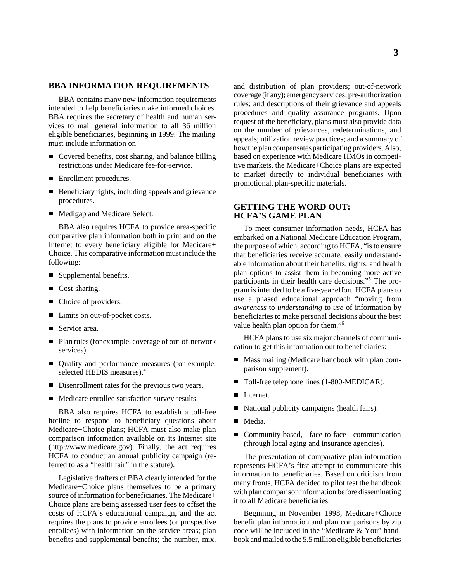# **BBA INFORMATION REQUIREMENTS**

BBA contains many new information requirements intended to help beneficiaries make informed choices. BBA requires the secretary of health and human services to mail general information to all 36 million eligible beneficiaries, beginning in 1999. The mailing must include information on

- Covered benefits, cost sharing, and balance billing restrictions under Medicare fee-for-service.
- Enrollment procedures.
- Beneficiary rights, including appeals and grievance procedures.
- Medigap and Medicare Select.

BBA also requires HCFA to provide area-specific comparative plan information both in print and on the Internet to every beneficiary eligible for Medicare+ Choice. This comparative information must include the following:

- Supplemental benefits.
- Cost-sharing.
- Choice of providers.
- Limits on out-of-pocket costs.
- Service area.
- Plan rules (for example, coverage of out-of-network services).
- Quality and performance measures (for example, selected HEDIS measures).<sup>4</sup>
- Disenrollment rates for the previous two years.
- Medicare enrollee satisfaction survey results.

BBA also requires HCFA to establish a toll-free hotline to respond to beneficiary questions about Medicare+Choice plans; HCFA must also make plan comparison information available on its Internet site (http://www.medicare.gov). Finally, the act requires HCFA to conduct an annual publicity campaign (referred to as a "health fair" in the statute).

Legislative drafters of BBA clearly intended for the Medicare+Choice plans themselves to be a primary source of information for beneficiaries. The Medicare+ Choice plans are being assessed user fees to offset the costs of HCFA's educational campaign, and the act requires the plans to provide enrollees (or prospective enrollees) with information on the service areas; plan benefits and supplemental benefits; the number, mix,

and distribution of plan providers; out-of-network coverage (if any); emergency services; pre-authorization rules; and descriptions of their grievance and appeals procedures and quality assurance programs. Upon request of the beneficiary, plans must also provide data on the number of grievances, redeterminations, and appeals; utilization review practices; and a summary of how the plan compensates participating providers. Also, based on experience with Medicare HMOs in competitive markets, the Medicare+Choice plans are expected to market directly to individual beneficiaries with promotional, plan-specific materials.

# **GETTING THE WORD OUT: HCFA'S GAME PLAN**

To meet consumer information needs, HCFA has embarked on a National Medicare Education Program, the purpose of which, according to HCFA, "is to ensure that beneficiaries receive accurate, easily understandable information about their benefits, rights, and health plan options to assist them in becoming more active participants in their health care decisions."5 The program is intended to be a five-year effort. HCFA plans to use a phased educational approach "moving from *awareness* to *understanding* to *use* of information by beneficiaries to make personal decisions about the best value health plan option for them."6

HCFA plans to use six major channels of communication to get this information out to beneficiaries:

- Mass mailing (Medicare handbook with plan comparison supplement).
- Toll-free telephone lines (1-800-MEDICAR).
- $\blacksquare$ Internet.
- National publicity campaigns (health fairs).
- Media.
- $\blacksquare$  Community-based, face-to-face communication (through local aging and insurance agencies).

The presentation of comparative plan information represents HCFA's first attempt to communicate this information to beneficiaries. Based on criticism from many fronts, HCFA decided to pilot test the handbook with plan comparison information before disseminating it to all Medicare beneficiaries.

Beginning in November 1998, Medicare+Choice benefit plan information and plan comparisons by zip code will be included in the "Medicare & You" handbook and mailed to the 5.5 million eligible beneficiaries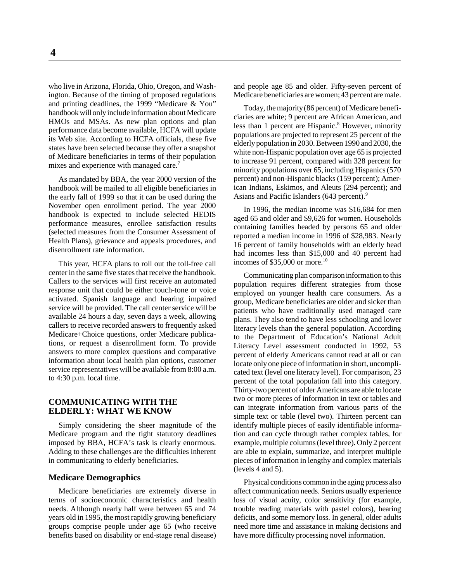who live in Arizona, Florida, Ohio, Oregon, and Washington. Because of the timing of proposed regulations and printing deadlines, the 1999 "Medicare & You" handbook will only include information about Medicare HMOs and MSAs. As new plan options and plan performance data become available, HCFA will update its Web site. According to HCFA officials, these five states have been selected because they offer a snapshot of Medicare beneficiaries in terms of their population mixes and experience with managed care.<sup>7</sup>

As mandated by BBA, the year 2000 version of the handbook will be mailed to all eligible beneficiaries in the early fall of 1999 so that it can be used during the November open enrollment period. The year 2000 handbook is expected to include selected HEDIS performance measures, enrollee satisfaction results (selected measures from the Consumer Assessment of Health Plans), grievance and appeals procedures, and disenrollment rate information.

This year, HCFA plans to roll out the toll-free call center in the same five states that receive the handbook. Callers to the services will first receive an automated response unit that could be either touch-tone or voice activated. Spanish language and hearing impaired service will be provided. The call center service will be available 24 hours a day, seven days a week, allowing callers to receive recorded answers to frequently asked Medicare+Choice questions, order Medicare publications, or request a disenrollment form. To provide answers to more complex questions and comparative information about local health plan options, customer service representatives will be available from 8:00 a.m. to 4:30 p.m. local time.

# **COMMUNICATING WITH THE ELDERLY: WHAT WE KNOW**

Simply considering the sheer magnitude of the Medicare program and the tight statutory deadlines imposed by BBA, HCFA's task is clearly enormous. Adding to these challenges are the difficulties inherent in communicating to elderly beneficiaries.

# **Medicare Demographics**

Medicare beneficiaries are extremely diverse in terms of socioeconomic characteristics and health needs. Although nearly half were between 65 and 74 years old in 1995, the most rapidly growing beneficiary groups comprise people under age 65 (who receive benefits based on disability or end-stage renal disease) and people age 85 and older. Fifty-seven percent of Medicare beneficiaries are women; 43 percent are male.

Today, the majority (86 percent) of Medicare beneficiaries are white; 9 percent are African American, and less than 1 percent are Hispanic.<sup>8</sup> However, minority populations are projected to represent 25 percent of the elderly population in 2030. Between 1990 and 2030, the white non-Hispanic population over age 65 is projected to increase 91 percent, compared with 328 percent for minority populations over 65, including Hispanics (570 percent) and non-Hispanic blacks (159 percent); American Indians, Eskimos, and Aleuts (294 percent); and Asians and Pacific Islanders (643 percent).<sup>9</sup>

In 1996, the median income was \$16,684 for men aged 65 and older and \$9,626 for women. Households containing families headed by persons 65 and older reported a median income in 1996 of \$28,983. Nearly 16 percent of family households with an elderly head had incomes less than \$15,000 and 40 percent had incomes of  $$35,000$  or more.<sup>10</sup>

Communicating plan comparison information to this population requires different strategies from those employed on younger health care consumers. As a group, Medicare beneficiaries are older and sicker than patients who have traditionally used managed care plans. They also tend to have less schooling and lower literacy levels than the general population. According to the Department of Education's National Adult Literacy Level assessment conducted in 1992, 53 percent of elderly Americans cannot read at all or can locate only one piece of information in short, uncomplicated text (level one literacy level). For comparison, 23 percent of the total population fall into this category. Thirty-two percent of older Americans are able to locate two or more pieces of information in text or tables and can integrate information from various parts of the simple text or table (level two). Thirteen percent can identify multiple pieces of easily identifiable information and can cycle through rather complex tables, for example, multiple columns (level three). Only 2 percent are able to explain, summarize, and interpret multiple pieces of information in lengthy and complex materials (levels 4 and 5).

Physical conditions common in the aging process also affect communication needs. Seniors usually experience loss of visual acuity, color sensitivity (for example, trouble reading materials with pastel colors), hearing deficits, and some memory loss. In general, older adults need more time and assistance in making decisions and have more difficulty processing novel information.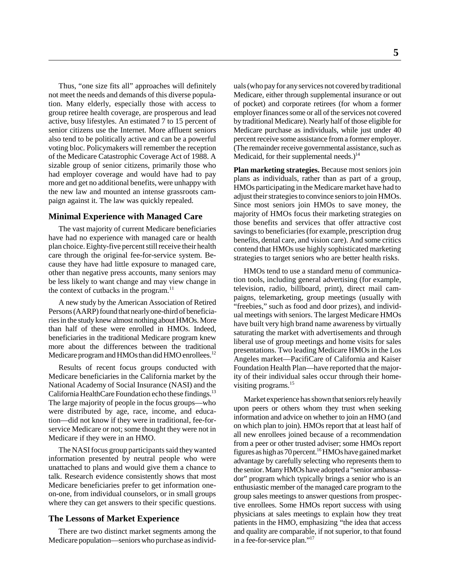Thus, "one size fits all" approaches will definitely not meet the needs and demands of this diverse population. Many elderly, especially those with access to group retiree health coverage, are prosperous and lead active, busy lifestyles. An estimated 7 to 15 percent of senior citizens use the Internet. More affluent seniors also tend to be politically active and can be a powerful voting bloc. Policymakers will remember the reception of the Medicare Catastrophic Coverage Act of 1988. A sizable group of senior citizens, primarily those who had employer coverage and would have had to pay more and get no additional benefits, were unhappy with the new law and mounted an intense grassroots campaign against it. The law was quickly repealed.

#### **Minimal Experience with Managed Care**

The vast majority of current Medicare beneficiaries have had no experience with managed care or health plan choice. Eighty-five percent still receive their health care through the original fee-for-service system. Because they have had little exposure to managed care, other than negative press accounts, many seniors may be less likely to want change and may view change in the context of cutbacks in the program.<sup>11</sup>

A new study by the American Association of Retired Persons (AARP) found that nearly one-third of beneficiaries in the study knew almost nothing about HMOs. More than half of these were enrolled in HMOs. Indeed, beneficiaries in the traditional Medicare program knew more about the differences between the traditional Medicare program and HMOs than did HMO enrollees.<sup>12</sup>

Results of recent focus groups conducted with Medicare beneficiaries in the California market by the National Academy of Social Insurance (NASI) and the California HealthCare Foundation echo these findings.<sup>13</sup> The large majority of people in the focus groups—who were distributed by age, race, income, and education—did not know if they were in traditional, fee-forservice Medicare or not; some thought they were not in Medicare if they were in an HMO.

The NASI focus group participants said they wanted information presented by neutral people who were unattached to plans and would give them a chance to talk. Research evidence consistently shows that most Medicare beneficiaries prefer to get information oneon-one, from individual counselors, or in small groups where they can get answers to their specific questions.

### **The Lessons of Market Experience**

There are two distinct market segments among the Medicare population—seniors who purchase as individuals (who pay for any services not covered by traditional Medicare, either through supplemental insurance or out of pocket) and corporate retirees (for whom a former employer finances some or all of the services not covered by traditional Medicare). Nearly half of those eligible for Medicare purchase as individuals, while just under 40 percent receive some assistance from a former employer. (The remainder receive governmental assistance, such as Medicaid, for their supplemental needs.)<sup>14</sup>

**Plan marketing strategies.** Because most seniors join plans as individuals, rather than as part of a group, HMOs participating in the Medicare market have had to adjust their strategies to convince seniors to join HMOs. Since most seniors join HMOs to save money, the majority of HMOs focus their marketing strategies on those benefits and services that offer attractive cost savings to beneficiaries (for example, prescription drug benefits, dental care, and vision care). And some critics contend that HMOs use highly sophisticated marketing strategies to target seniors who are better health risks.

HMOs tend to use a standard menu of communication tools, including general advertising (for example, television, radio, billboard, print), direct mail campaigns, telemarketing, group meetings (usually with "freebies," such as food and door prizes), and individual meetings with seniors. The largest Medicare HMOs have built very high brand name awareness by virtually saturating the market with advertisements and through liberal use of group meetings and home visits for sales presentations. Two leading Medicare HMOs in the Los Angeles market—PacifiCare of California and Kaiser Foundation Health Plan—have reported that the majority of their individual sales occur through their homevisiting programs.<sup>15</sup>

Market experience has shown that seniors rely heavily upon peers or others whom they trust when seeking information and advice on whether to join an HMO (and on which plan to join). HMOs report that at least half of all new enrollees joined because of a recommendation from a peer or other trusted adviser; some HMOs report figures as high as 70 percent.16 HMOs have gained market advantage by carefully selecting who represents them to the senior. Many HMOs have adopted a "senior ambassador" program which typically brings a senior who is an enthusiastic member of the managed care program to the group sales meetings to answer questions from prospective enrollees. Some HMOs report success with using physicians at sales meetings to explain how they treat patients in the HMO, emphasizing "the idea that access and quality are comparable, if not superior, to that found in a fee-for-service plan."17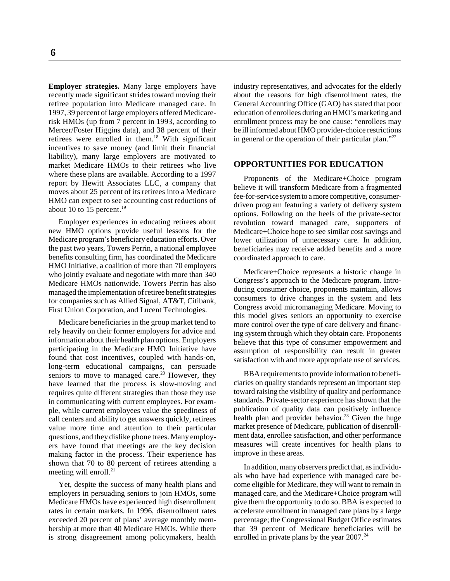**Employer strategies.** Many large employers have recently made significant strides toward moving their retiree population into Medicare managed care. In 1997, 39 percent of large employers offered Medicarerisk HMOs (up from 7 percent in 1993, according to Mercer/Foster Higgins data), and 38 percent of their retirees were enrolled in them.<sup>18</sup> With significant incentives to save money (and limit their financial liability), many large employers are motivated to market Medicare HMOs to their retirees who live where these plans are available. According to a 1997 report by Hewitt Associates LLC, a company that moves about 25 percent of its retirees into a Medicare HMO can expect to see accounting cost reductions of about 10 to 15 percent.<sup>19</sup>

Employer experiences in educating retirees about new HMO options provide useful lessons for the Medicare program's beneficiary education efforts. Over the past two years, Towers Perrin, a national employee benefits consulting firm, has coordinated the Medicare HMO Initiative, a coalition of more than 70 employers who jointly evaluate and negotiate with more than 340 Medicare HMOs nationwide. Towers Perrin has also managed the implementation of retiree benefit strategies for companies such as Allied Signal, AT&T, Citibank, First Union Corporation, and Lucent Technologies.

Medicare beneficiaries in the group market tend to rely heavily on their former employers for advice and information about their health plan options. Employers participating in the Medicare HMO Initiative have found that cost incentives, coupled with hands-on, long-term educational campaigns, can persuade seniors to move to managed care.<sup>20</sup> However, they have learned that the process is slow-moving and requires quite different strategies than those they use in communicating with current employees. For example, while current employees value the speediness of call centers and ability to get answers quickly, retirees value more time and attention to their particular questions, and they dislike phone trees. Many employers have found that meetings are the key decision making factor in the process. Their experience has shown that 70 to 80 percent of retirees attending a meeting will enroll.<sup>21</sup>

Yet, despite the success of many health plans and employers in persuading seniors to join HMOs, some Medicare HMOs have experienced high disenrollment rates in certain markets. In 1996, disenrollment rates exceeded 20 percent of plans' average monthly membership at more than 40 Medicare HMOs. While there is strong disagreement among policymakers, health

industry representatives, and advocates for the elderly about the reasons for high disenrollment rates, the General Accounting Office (GAO) has stated that poor education of enrollees during an HMO's marketing and enrollment process may be one cause: "enrollees may be ill informed about HMO provider-choice restrictions in general or the operation of their particular plan."<sup>22</sup>

#### **OPPORTUNITIES FOR EDUCATION**

Proponents of the Medicare+Choice program believe it will transform Medicare from a fragmented fee-for-service system to a more competitive, consumerdriven program featuring a variety of delivery system options. Following on the heels of the private-sector revolution toward managed care, supporters of Medicare+Choice hope to see similar cost savings and lower utilization of unnecessary care. In addition, beneficiaries may receive added benefits and a more coordinated approach to care.

Medicare+Choice represents a historic change in Congress's approach to the Medicare program. Introducing consumer choice, proponents maintain, allows consumers to drive changes in the system and lets Congress avoid micromanaging Medicare. Moving to this model gives seniors an opportunity to exercise more control over the type of care delivery and financing system through which they obtain care. Proponents believe that this type of consumer empowerment and assumption of responsibility can result in greater satisfaction with and more appropriate use of services.

BBA requirements to provide information to beneficiaries on quality standards represent an important step toward raising the visibility of quality and performance standards. Private-sector experience has shown that the publication of quality data can positively influence health plan and provider behavior.<sup>23</sup> Given the huge market presence of Medicare, publication of disenrollment data, enrollee satisfaction, and other performance measures will create incentives for health plans to improve in these areas.

In addition, many observers predict that, as individuals who have had experience with managed care become eligible for Medicare, they will want to remain in managed care, and the Medicare+Choice program will give them the opportunity to do so. BBA is expected to accelerate enrollment in managed care plans by a large percentage; the Congressional Budget Office estimates that 39 percent of Medicare beneficiaries will be enrolled in private plans by the year  $2007.<sup>24</sup>$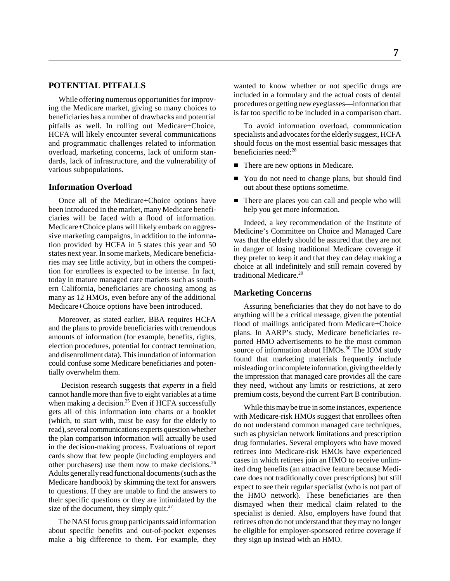# **POTENTIAL PITFALLS**

While offering numerous opportunities for improving the Medicare market, giving so many choices to beneficiaries has a number of drawbacks and potential pitfalls as well. In rolling out Medicare+Choice, HCFA will likely encounter several communications and programmatic challenges related to information overload, marketing concerns, lack of uniform standards, lack of infrastructure, and the vulnerability of various subpopulations.

# **Information Overload**

Once all of the Medicare+Choice options have been introduced in the market, many Medicare beneficiaries will be faced with a flood of information. Medicare+Choice plans will likely embark on aggressive marketing campaigns, in addition to the information provided by HCFA in 5 states this year and 50 states next year. In some markets, Medicare beneficiaries may see little activity, but in others the competition for enrollees is expected to be intense. In fact, today in mature managed care markets such as southern California, beneficiaries are choosing among as many as 12 HMOs, even before any of the additional Medicare+Choice options have been introduced.

Moreover, as stated earlier, BBA requires HCFA and the plans to provide beneficiaries with tremendous amounts of information (for example, benefits, rights, election procedures, potential for contract termination, and disenrollment data). This inundation of information could confuse some Medicare beneficiaries and potentially overwhelm them.

 Decision research suggests that *experts* in a field cannot handle more than five to eight variables at a time when making a decision.<sup>25</sup> Even if HCFA successfully gets all of this information into charts or a booklet (which, to start with, must be easy for the elderly to read), several communications experts question whether the plan comparison information will actually be used in the decision-making process. Evaluations of report cards show that few people (including employers and other purchasers) use them now to make decisions.26 Adults generally read functional documents (such as the Medicare handbook) by skimming the text for answers to questions. If they are unable to find the answers to their specific questions or they are intimidated by the size of the document, they simply quit.<sup>27</sup>

The NASI focus group participants said information about specific benefits and out-of-pocket expenses make a big difference to them. For example, they wanted to know whether or not specific drugs are included in a formulary and the actual costs of dental procedures or getting new eyeglasses—information that is far too specific to be included in a comparison chart.

To avoid information overload, communication specialists and advocates for the elderly suggest, HCFA should focus on the most essential basic messages that beneficiaries need:<sup>28</sup>

- There are new options in Medicare.
- You do not need to change plans, but should find out about these options sometime.
- There are places you can call and people who will help you get more information.

Indeed, a key recommendation of the Institute of Medicine's Committee on Choice and Managed Care was that the elderly should be assured that they are not in danger of losing traditional Medicare coverage if they prefer to keep it and that they can delay making a choice at all indefinitely and still remain covered by traditional Medicare.<sup>29</sup>

### **Marketing Concerns**

Assuring beneficiaries that they do not have to do anything will be a critical message, given the potential flood of mailings anticipated from Medicare+Choice plans. In AARP's study, Medicare beneficiaries reported HMO advertisements to be the most common source of information about HMOs.<sup>30</sup> The IOM study found that marketing materials frequently include misleading or incomplete information, giving the elderly the impression that managed care provides all the care they need, without any limits or restrictions, at zero premium costs, beyond the current Part B contribution.

While this may be true in some instances, experience with Medicare-risk HMOs suggest that enrollees often do not understand common managed care techniques, such as physician network limitations and prescription drug formularies. Several employers who have moved retirees into Medicare-risk HMOs have experienced cases in which retirees join an HMO to receive unlimited drug benefits (an attractive feature because Medicare does not traditionally cover prescriptions) but still expect to see their regular specialist (who is not part of the HMO network). These beneficiaries are then dismayed when their medical claim related to the specialist is denied. Also, employers have found that retirees often do not understand that they may no longer be eligible for employer-sponsored retiree coverage if they sign up instead with an HMO.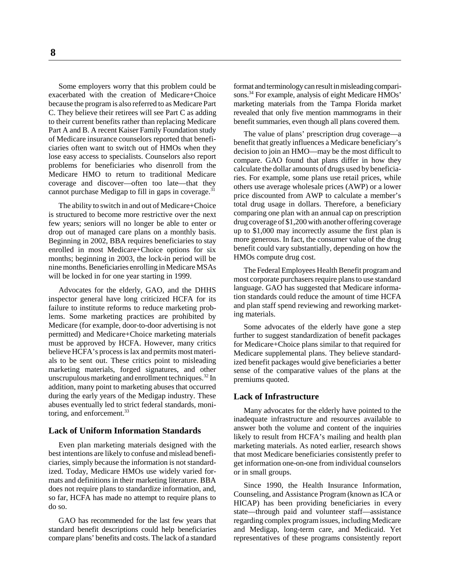**8**

Some employers worry that this problem could be exacerbated with the creation of Medicare+Choice because the program is also referred to as Medicare Part C. They believe their retirees will see Part C as adding to their current benefits rather than replacing Medicare Part A and B. A recent Kaiser Family Foundation study of Medicare insurance counselors reported that beneficiaries often want to switch out of HMOs when they lose easy access to specialists. Counselors also report problems for beneficiaries who disenroll from the Medicare HMO to return to traditional Medicare coverage and discover—often too late—that they cannot purchase Medigap to fill in gaps in coverage.<sup>31</sup>

The ability to switch in and out of Medicare+Choice is structured to become more restrictive over the next few years; seniors will no longer be able to enter or drop out of managed care plans on a monthly basis. Beginning in 2002, BBA requires beneficiaries to stay enrolled in most Medicare+Choice options for six months; beginning in 2003, the lock-in period will be nine months. Beneficiaries enrolling in Medicare MSAs will be locked in for one year starting in 1999.

Advocates for the elderly, GAO, and the DHHS inspector general have long criticized HCFA for its failure to institute reforms to reduce marketing problems. Some marketing practices are prohibited by Medicare (for example, door-to-door advertising is not permitted) and Medicare+Choice marketing materials must be approved by HCFA. However, many critics believe HCFA's process is lax and permits most materials to be sent out. These critics point to misleading marketing materials, forged signatures, and other unscrupulous marketing and enrollment techniques.32 In addition, many point to marketing abuses that occurred during the early years of the Medigap industry. These abuses eventually led to strict federal standards, monitoring, and enforcement.<sup>33</sup>

#### **Lack of Uniform Information Standards**

Even plan marketing materials designed with the best intentions are likely to confuse and mislead beneficiaries, simply because the information is not standardized. Today, Medicare HMOs use widely varied formats and definitions in their marketing literature. BBA does not require plans to standardize information, and, so far, HCFA has made no attempt to require plans to do so.

GAO has recommended for the last few years that standard benefit descriptions could help beneficiaries compare plans' benefits and costs. The lack of a standard

format and terminology can result in misleading comparisons.34 For example, analysis of eight Medicare HMOs' marketing materials from the Tampa Florida market revealed that only five mention mammograms in their benefit summaries, even though all plans covered them.

The value of plans' prescription drug coverage—a benefit that greatly influences a Medicare beneficiary's decision to join an HMO—may be the most difficult to compare. GAO found that plans differ in how they calculate the dollar amounts of drugs used by beneficiaries. For example, some plans use retail prices, while others use average wholesale prices (AWP) or a lower price discounted from AWP to calculate a member's total drug usage in dollars. Therefore, a beneficiary comparing one plan with an annual cap on prescription drug coverage of \$1,200 with another offering coverage up to \$1,000 may incorrectly assume the first plan is more generous. In fact, the consumer value of the drug benefit could vary substantially, depending on how the HMOs compute drug cost.

The Federal Employees Health Benefit program and most corporate purchasers require plans to use standard language. GAO has suggested that Medicare information standards could reduce the amount of time HCFA and plan staff spend reviewing and reworking marketing materials.

Some advocates of the elderly have gone a step further to suggest standardization of benefit packages for Medicare+Choice plans similar to that required for Medicare supplemental plans. They believe standardized benefit packages would give beneficiaries a better sense of the comparative values of the plans at the premiums quoted.

# **Lack of Infrastructure**

Many advocates for the elderly have pointed to the inadequate infrastructure and resources available to answer both the volume and content of the inquiries likely to result from HCFA's mailing and health plan marketing materials. As noted earlier, research shows that most Medicare beneficiaries consistently prefer to get information one-on-one from individual counselors or in small groups.

Since 1990, the Health Insurance Information, Counseling, and Assistance Program (known as ICA or HICAP) has been providing beneficiaries in every state—through paid and volunteer staff—assistance regarding complex program issues, including Medicare and Medigap, long-term care, and Medicaid. Yet representatives of these programs consistently report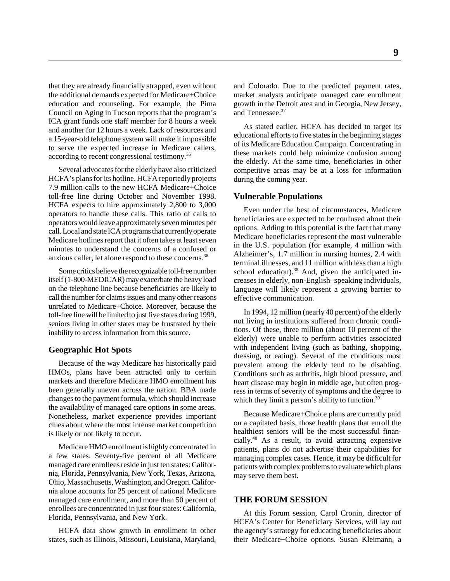that they are already financially strapped, even without the additional demands expected for Medicare+Choice education and counseling. For example, the Pima Council on Aging in Tucson reports that the program's ICA grant funds one staff member for 8 hours a week and another for 12 hours a week. Lack of resources and a 15-year-old telephone system will make it impossible to serve the expected increase in Medicare callers, according to recent congressional testimony.35

Several advocates for the elderly have also criticized HCFA's plans for its hotline. HCFA reportedly projects 7.9 million calls to the new HCFA Medicare+Choice toll-free line during October and November 1998. HCFA expects to hire approximately 2,800 to 3,000 operators to handle these calls. This ratio of calls to operators would leave approximately seven minutes per call. Local and state ICA programs that currently operate Medicare hotlines report that it often takes at least seven minutes to understand the concerns of a confused or anxious caller, let alone respond to these concerns.36

Some critics believe the recognizable toll-free number itself (1-800-MEDICAR) may exacerbate the heavy load on the telephone line because beneficiaries are likely to call the number for claims issues and many other reasons unrelated to Medicare+Choice. Moreover, because the toll-free line will be limited to just five states during 1999, seniors living in other states may be frustrated by their inability to access information from this source.

#### **Geographic Hot Spots**

Because of the way Medicare has historically paid HMOs, plans have been attracted only to certain markets and therefore Medicare HMO enrollment has been generally uneven across the nation. BBA made changes to the payment formula, which should increase the availability of managed care options in some areas. Nonetheless, market experience provides important clues about where the most intense market competition is likely or not likely to occur.

Medicare HMO enrollment is highly concentrated in a few states. Seventy-five percent of all Medicare managed care enrollees reside in just ten states: California, Florida, Pennsylvania, New York, Texas, Arizona, Ohio, Massachusetts, Washington, and Oregon. California alone accounts for 25 percent of national Medicare managed care enrollment, and more than 50 percent of enrollees are concentrated in just four states: California, Florida, Pennsylvania, and New York.

HCFA data show growth in enrollment in other states, such as Illinois, Missouri, Louisiana, Maryland,

and Colorado. Due to the predicted payment rates, market analysts anticipate managed care enrollment growth in the Detroit area and in Georgia, New Jersey, and Tennessee.<sup>37</sup>

As stated earlier, HCFA has decided to target its educational efforts to five states in the beginning stages of its Medicare Education Campaign. Concentrating in these markets could help minimize confusion among the elderly. At the same time, beneficiaries in other competitive areas may be at a loss for information during the coming year.

#### **Vulnerable Populations**

Even under the best of circumstances, Medicare beneficiaries are expected to be confused about their options. Adding to this potential is the fact that many Medicare beneficiaries represent the most vulnerable in the U.S. population (for example, 4 million with Alzheimer's, 1.7 million in nursing homes, 2.4 with terminal illnesses, and 11 million with less than a high school education). $38$  And, given the anticipated increases in elderly, non-English–speaking individuals, language will likely represent a growing barrier to effective communication.

In 1994, 12 million (nearly 40 percent) of the elderly not living in institutions suffered from chronic conditions. Of these, three million (about 10 percent of the elderly) were unable to perform activities associated with independent living (such as bathing, shopping, dressing, or eating). Several of the conditions most prevalent among the elderly tend to be disabling. Conditions such as arthritis, high blood pressure, and heart disease may begin in middle age, but often progress in terms of severity of symptoms and the degree to which they limit a person's ability to function.<sup>39</sup>

Because Medicare+Choice plans are currently paid on a capitated basis, those health plans that enroll the healthiest seniors will be the most successful financially.40 As a result, to avoid attracting expensive patients, plans do not advertise their capabilities for managing complex cases. Hence, it may be difficult for patients with complex problems to evaluate which plans may serve them best.

#### **THE FORUM SESSION**

At this Forum session, Carol Cronin, director of HCFA's Center for Beneficiary Services, will lay out the agency's strategy for educating beneficiaries about their Medicare+Choice options. Susan Kleimann, a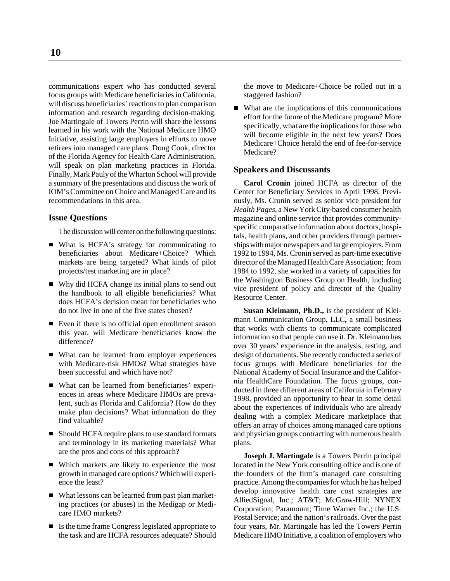communications expert who has conducted several focus groups with Medicare beneficiaries in California, will discuss beneficiaries' reactions to plan comparison information and research regarding decision-making. Joe Martingale of Towers Perrin will share the lessons learned in his work with the National Medicare HMO Initiative, assisting large employers in efforts to move retirees into managed care plans. Doug Cook, director of the Florida Agency for Health Care Administration, will speak on plan marketing practices in Florida. Finally, Mark Pauly of the Wharton School will provide a summary of the presentations and discuss the work of IOM's Committee on Choice and Managed Care and its recommendations in this area.

# **Issue Questions**

The discussion will center on the following questions:

- What is HCFA's strategy for communicating to beneficiaries about Medicare+Choice? Which markets are being targeted? What kinds of pilot projects/test marketing are in place?
- Why did HCFA change its initial plans to send out the handbook to all eligible beneficiaries? What does HCFA's decision mean for beneficiaries who do not live in one of the five states chosen?
- Even if there is no official open enrollment season this year, will Medicare beneficiaries know the difference?
- What can be learned from employer experiences with Medicare-risk HMOs? What strategies have been successful and which have not?
- What can be learned from beneficiaries' experiences in areas where Medicare HMOs are prevalent, such as Florida and California? How do they make plan decisions? What information do they find valuable?
- Should HCFA require plans to use standard formats and terminology in its marketing materials? What are the pros and cons of this approach?
- Which markets are likely to experience the most growth in managed care options? Which will experience the least?
- What lessons can be learned from past plan marketing practices (or abuses) in the Medigap or Medicare HMO markets?
- Is the time frame Congress legislated appropriate to the task and are HCFA resources adequate? Should

the move to Medicare+Choice be rolled out in a staggered fashion?

■ What are the implications of this communications effort for the future of the Medicare program? More specifically, what are the implications for those who will become eligible in the next few years? Does Medicare+Choice herald the end of fee-for-service Medicare?

# **Speakers and Discussants**

**Carol Cronin** joined HCFA as director of the Center for Beneficiary Services in April 1998. Previously, Ms. Cronin served as senior vice president for *Health Pages*, a New York City-based consumer health magazine and online service that provides communityspecific comparative information about doctors, hospitals, health plans, and other providers through partnerships with major newspapers and large employers. From 1992 to 1994, Ms. Cronin served as part-time executive director of the Managed Health Care Association; from 1984 to 1992, she worked in a variety of capacities for the Washington Business Group on Health, including vice president of policy and director of the Quality Resource Center.

**Susan Kleimann, Ph.D.,** is the president of Kleimann Communication Group, LLC**,** a small business that works with clients to communicate complicated information so that people can use it. Dr. Kleimann has over 30 years' experience in the analysis, testing, and design of documents. She recently conducted a series of focus groups with Medicare beneficiaries for the National Academy of Social Insurance and the California HealthCare Foundation. The focus groups, conducted in three different areas of California in February 1998, provided an opportunity to hear in some detail about the experiences of individuals who are already dealing with a complex Medicare marketplace that offers an array of choices among managed care options and physician groups contracting with numerous health plans.

**Joseph J. Martingale** is a Towers Perrin principal located in the New York consulting office and is one of the founders of the firm's managed care consulting practice. Among the companies for which he has helped develop innovative health care cost strategies are AlliedSignal, Inc.; AT&T; McGraw-Hill; NYNEX Corporation; Paramount; Time Warner Inc.; the U.S. Postal Service; and the nation's railroads. Over the past four years, Mr. Martingale has led the Towers Perrin Medicare HMO Initiative, a coalition of employers who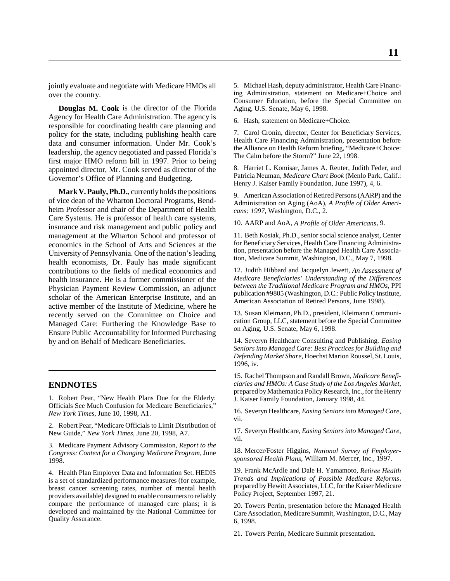jointly evaluate and negotiate with Medicare HMOs all over the country.

**Douglas M. Cook** is the director of the Florida Agency for Health Care Administration. The agency is responsible for coordinating health care planning and policy for the state, including publishing health care data and consumer information. Under Mr. Cook's leadership, the agency negotiated and passed Florida's first major HMO reform bill in 1997. Prior to being appointed director, Mr. Cook served as director of the Governor's Office of Planning and Budgeting.

**Mark V. Pauly, Ph.D.**, currently holds the positions of vice dean of the Wharton Doctoral Programs, Bendheim Professor and chair of the Department of Health Care Systems. He is professor of health care systems, insurance and risk management and public policy and management at the Wharton School and professor of economics in the School of Arts and Sciences at the University of Pennsylvania. One of the nation's leading health economists, Dr. Pauly has made significant contributions to the fields of medical economics and health insurance. He is a former commissioner of the Physician Payment Review Commission, an adjunct scholar of the American Enterprise Institute, and an active member of the Institute of Medicine, where he recently served on the Committee on Choice and Managed Care: Furthering the Knowledge Base to Ensure Public Accountability for Informed Purchasing by and on Behalf of Medicare Beneficiaries.

# **ENDNOTES**

1. Robert Pear, "New Health Plans Due for the Elderly: Officials See Much Confusion for Medicare Beneficiaries," *New York Times*, June 10, 1998, A1.

2. Robert Pear, "Medicare Officials to Limit Distribution of New Guide," *New York Times*, June 20, 1998, A7.

3. Medicare Payment Advisory Commission, *Report to the Congress: Context for a Changing Medicare Program*, June 1998.

4. Health Plan Employer Data and Information Set. HEDIS is a set of standardized performance measures (for example, breast cancer screening rates, number of mental health providers available) designed to enable consumers to reliably compare the performance of managed care plans; it is developed and maintained by the National Committee for Quality Assurance.

5. Michael Hash, deputy administrator, Health Care Financing Administration, statement on Medicare+Choice and Consumer Education, before the Special Committee on Aging, U.S. Senate, May 6, 1998.

6. Hash, statement on Medicare+Choice.

7. Carol Cronin, director, Center for Beneficiary Services, Health Care Financing Administration, presentation before the Alliance on Health Reform briefing, "Medicare+Choice: The Calm before the Storm?" June 22, 1998.

8. Harriet L. Komisar, James A. Reuter, Judith Feder, and Patricia Neuman, *Medicare Chart Book* (Menlo Park, Calif.: Henry J. Kaiser Family Foundation, June 1997), 4, 6.

9. American Association of Retired Persons (AARP) and the Administration on Aging (AoA), *A Profile of Older Americans: 1997*, Washington, D.C., 2.

10. AARP and AoA, *A Profile of Older Americans*, 9.

11. Beth Kosiak, Ph.D., senior social science analyst, Center for Beneficiary Services, Health Care Financing Administration, presentation before the Managed Health Care Association, Medicare Summit, Washington, D.C., May 7, 1998.

12. Judith Hibbard and Jacquelyn Jewett, *An Assessment of Medicare Beneficiaries' Understanding of the Differences between the Traditional Medicare Program and HMOs,* PPI publication #9805 (Washington, D.C.: Public Policy Institute, American Association of Retired Persons, June 1998).

13. Susan Kleimann, Ph.D., president, Kleimann Communication Group, LLC, statement before the Special Committee on Aging, U.S. Senate, May 6, 1998.

14. Severyn Healthcare Consulting and Publishing*. Easing Seniors into Managed Care: Best Practices for Building and Defending Market Share,* Hoechst Marion Roussel, St. Louis, 1996, iv.

15. Rachel Thompson and Randall Brown*, Medicare Beneficiaries and HMOs: A Case Study of the Los Angeles Market*, prepared by Mathematica Policy Research, Inc., for the Henry J. Kaiser Family Foundation, January 1998, 44.

16. Severyn Healthcare, *Easing Seniors into Managed Care,* vii.

17. Severyn Healthcare, *Easing Seniors into Managed Care,* vii.

18. Mercer/Foster Higgins, *National Survey of Employersponsored Health Plans*, William M. Mercer, Inc., 1997.

19. Frank McArdle and Dale H. Yamamoto, *Retiree Health Trends and Implications of Possible Medicare Reforms*, prepared by Hewitt Associates, LLC, for the Kaiser Medicare Policy Project, September 1997, 21.

20. Towers Perrin, presentation before the Managed Health Care Association, Medicare Summit, Washington, D.C., May 6, 1998.

21. Towers Perrin, Medicare Summit presentation.